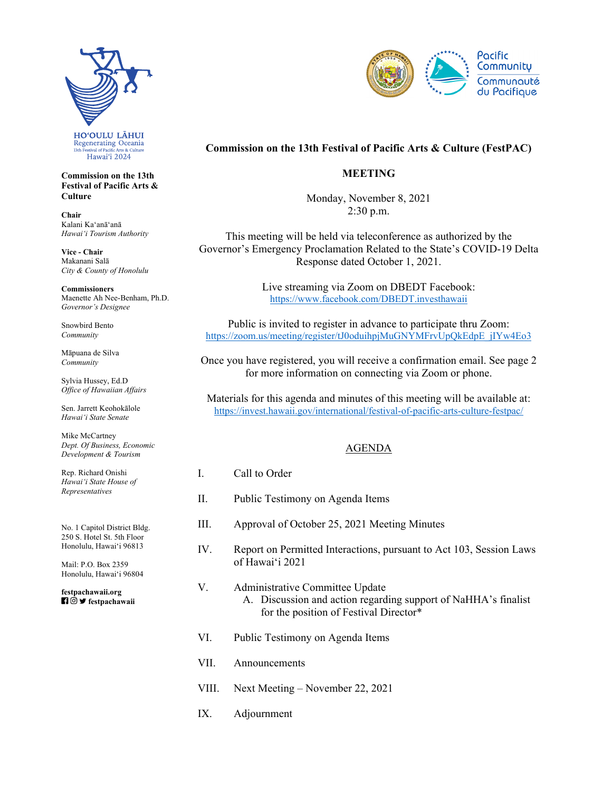

**Commission on the 13th Festival of Pacific Arts & Culture** 

**Chair**  Kalani Kaʻanāʻanā *Hawaiʻi Tourism Authority* 

**Vice - Chair**  Makanani Salā *City & County of Honolulu* 

**Commissioners**  Maenette Ah Nee-Benham, Ph.D. *Governor's Designee* 

Snowbird Bento *Community* 

Māpuana de Silva *Community* 

Sylvia Hussey, Ed.D *Office of Hawaiian Affairs* 

Sen. Jarrett Keohokālole *Hawaiʻi State Senate* 

Mike McCartney *Dept. Of Business, Economic Development & Tourism* 

Rep. Richard Onishi *Hawai'i State House of Representatives* 

No. 1 Capitol District Bldg. 250 S. Hotel St. 5th Floor Honolulu, Hawaiʻi 96813

Mail: P.O. Box 2359 Honolulu, Hawaiʻi 96804

 **festpachawaii [festpachawaii.org](https://festpachawaii.org)** 



## **Commission on the 13th Festival of Pacific Arts & Culture (FestPAC)**

## **MEETING**

Monday, November 8, 2021  $2:30$  p.m.

This meeting will be held via teleconference as authorized by the Governor's Emergency Proclamation Related to the State's COVID-19 Delta Response dated October 1, 2021.

> Live streaming via Zoom on DBEDT Facebook: <https://www.facebook.com/DBEDT.investhawaii>

Public is invited to register in advance to participate thru Zoom: [https://zoom.us/meeting/register/tJ0oduihpjMuGNYMFrvUpQkEdpE\\_jIYw4Eo3](https://zoom.us/meeting/register/tJ0oduihpjMuGNYMFrvUpQkEdpE_jIYw4Eo3) 

Once you have registered, you will receive a confirmation email. See page 2 for more information on connecting via Zoom or phone.

Materials for this agenda and minutes of this meeting will be available at: [https://invest.hawaii.gov/international/festival-of-pacific-arts-culture-festpac/](https://invest.hawaii.gov/international/festival-of-pacific-arts-culture-festpac)

## AGENDA

- I. Call to Order
- II. Public Testimony on Agenda Items
- III. Approval of October 25, 2021 Meeting Minutes
- IV. Report on Permitted Interactions, pursuant to Act 103, Session Laws of Hawaiʻi 2021

## V. Administrative Committee Update A. Discussion and action regarding support of NaHHA's finalist for the position of Festival Director\*

- VI. Public Testimony on Agenda Items
- VII. Announcements
- VIII. Next Meeting November 22, 2021
- IX. Adjournment